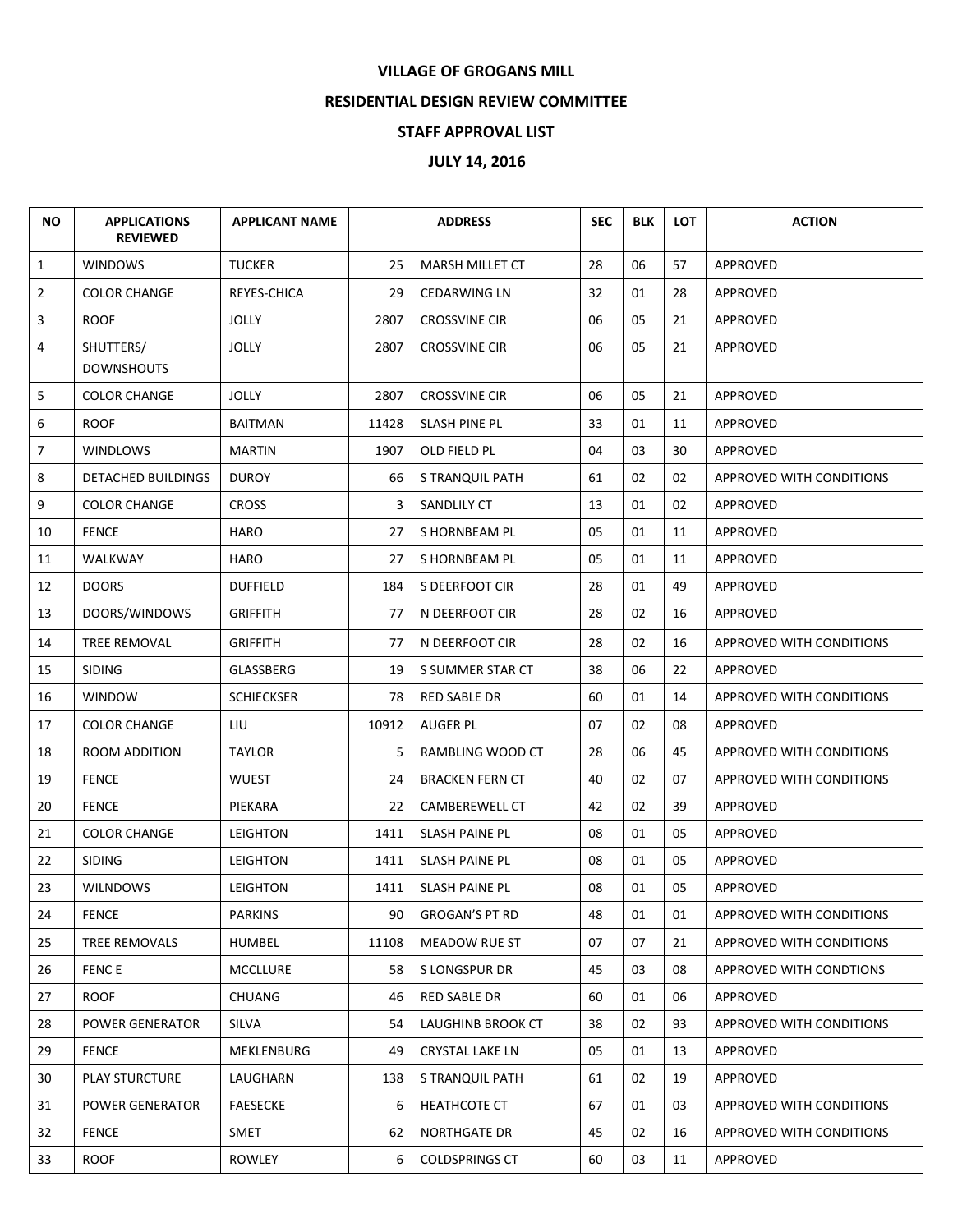## **VILLAGE OF GROGANS MILL**

## **RESIDENTIAL DESIGN REVIEW COMMITTEE**

## **STAFF APPROVAL LIST**

## **JULY 14, 2016**

| <b>NO</b>      | <b>APPLICATIONS</b><br><b>REVIEWED</b> | <b>APPLICANT NAME</b> |       | <b>ADDRESS</b>         | <b>SEC</b> | <b>BLK</b> | <b>LOT</b> | <b>ACTION</b>            |
|----------------|----------------------------------------|-----------------------|-------|------------------------|------------|------------|------------|--------------------------|
| $\mathbf{1}$   | <b>WINDOWS</b>                         | <b>TUCKER</b>         | 25    | MARSH MILLET CT        | 28         | 06         | 57         | APPROVED                 |
| $\overline{2}$ | <b>COLOR CHANGE</b>                    | REYES-CHICA           | 29    | <b>CEDARWING LN</b>    | 32         | 01         | 28         | APPROVED                 |
| 3              | <b>ROOF</b>                            | <b>JOLLY</b>          | 2807  | <b>CROSSVINE CIR</b>   | 06         | 05         | 21         | APPROVED                 |
| 4              | SHUTTERS/<br><b>DOWNSHOUTS</b>         | <b>JOLLY</b>          | 2807  | <b>CROSSVINE CIR</b>   | 06         | 05         | 21         | APPROVED                 |
| 5              | <b>COLOR CHANGE</b>                    | <b>JOLLY</b>          | 2807  | <b>CROSSVINE CIR</b>   | 06         | 05         | 21         | APPROVED                 |
| 6              | <b>ROOF</b>                            | <b>BAITMAN</b>        | 11428 | SLASH PINE PL          | 33         | 01         | 11         | APPROVED                 |
| $\overline{7}$ | <b>WINDLOWS</b>                        | MARTIN                | 1907  | OLD FIELD PL           | 04         | 03         | 30         | APPROVED                 |
| 8              | DETACHED BUILDINGS                     | <b>DUROY</b>          | 66    | S TRANQUIL PATH        | 61         | 02         | 02         | APPROVED WITH CONDITIONS |
| 9              | <b>COLOR CHANGE</b>                    | <b>CROSS</b>          | 3     | SANDLILY CT            | 13         | 01         | 02         | APPROVED                 |
| 10             | <b>FENCE</b>                           | HARO                  | 27    | S HORNBEAM PL          | 05         | 01         | 11         | APPROVED                 |
| 11             | WALKWAY                                | <b>HARO</b>           | 27    | S HORNBEAM PL          | 05         | 01         | 11         | APPROVED                 |
| 12             | <b>DOORS</b>                           | <b>DUFFIELD</b>       | 184   | S DEERFOOT CIR         | 28         | 01         | 49         | APPROVED                 |
| 13             | DOORS/WINDOWS                          | <b>GRIFFITH</b>       | 77    | N DEERFOOT CIR         | 28         | 02         | 16         | APPROVED                 |
| 14             | TREE REMOVAL                           | <b>GRIFFITH</b>       | 77    | N DEERFOOT CIR         | 28         | 02         | 16         | APPROVED WITH CONDITIONS |
| 15             | <b>SIDING</b>                          | GLASSBERG             | 19    | S SUMMER STAR CT       | 38         | 06         | 22         | APPROVED                 |
| 16             | <b>WINDOW</b>                          | <b>SCHIECKSER</b>     | 78    | RED SABLE DR           | 60         | 01         | 14         | APPROVED WITH CONDITIONS |
| 17             | <b>COLOR CHANGE</b>                    | LIU                   | 10912 | AUGER PL               | 07         | 02         | 08         | APPROVED                 |
| 18             | ROOM ADDITION                          | <b>TAYLOR</b>         | 5.    | RAMBLING WOOD CT       | 28         | 06         | 45         | APPROVED WITH CONDITIONS |
| 19             | <b>FENCE</b>                           | <b>WUEST</b>          | 24    | <b>BRACKEN FERN CT</b> | 40         | 02         | 07         | APPROVED WITH CONDITIONS |
| 20             | <b>FENCE</b>                           | PIEKARA               | 22    | <b>CAMBEREWELL CT</b>  | 42         | 02         | 39         | APPROVED                 |
| 21             | <b>COLOR CHANGE</b>                    | LEIGHTON              | 1411  | <b>SLASH PAINE PL</b>  | 08         | 01         | 05         | APPROVED                 |
| 22             | <b>SIDING</b>                          | LEIGHTON              | 1411  | <b>SLASH PAINE PL</b>  | 08         | 01         | 05         | APPROVED                 |
| 23             | <b>WILNDOWS</b>                        | <b>LEIGHTON</b>       |       | 1411 SLASH PAINE PL    | 08         | 01         | 05         | APPROVED                 |
| 24             | <b>FENCE</b>                           | <b>PARKINS</b>        | 90    | <b>GROGAN'S PT RD</b>  | 48         | 01         | 01         | APPROVED WITH CONDITIONS |
| 25             | TREE REMOVALS                          | HUMBEL                | 11108 | MEADOW RUE ST          | 07         | 07         | 21         | APPROVED WITH CONDITIONS |
| 26             | <b>FENCE</b>                           | <b>MCCLLURE</b>       | 58    | S LONGSPUR DR          | 45         | 03         | 08         | APPROVED WITH CONDTIONS  |
| 27             | <b>ROOF</b>                            | <b>CHUANG</b>         | 46    | RED SABLE DR           | 60         | 01         | 06         | APPROVED                 |
| 28             | <b>POWER GENERATOR</b>                 | <b>SILVA</b>          | 54    | LAUGHINB BROOK CT      | 38         | 02         | 93         | APPROVED WITH CONDITIONS |
| 29             | <b>FENCE</b>                           | MEKLENBURG            | 49    | <b>CRYSTAL LAKE LN</b> | 05         | 01         | 13         | <b>APPROVED</b>          |
| 30             | <b>PLAY STURCTURE</b>                  | LAUGHARN              | 138   | S TRANQUIL PATH        | 61         | 02         | 19         | APPROVED                 |
| 31             | POWER GENERATOR                        | <b>FAESECKE</b>       | 6     | <b>HEATHCOTE CT</b>    | 67         | 01         | 03         | APPROVED WITH CONDITIONS |
| 32             | <b>FENCE</b>                           | <b>SMET</b>           | 62    | <b>NORTHGATE DR</b>    | 45         | 02         | 16         | APPROVED WITH CONDITIONS |
| 33             | <b>ROOF</b>                            | ROWLEY                | 6     | <b>COLDSPRINGS CT</b>  | 60         | 03         | 11         | APPROVED                 |